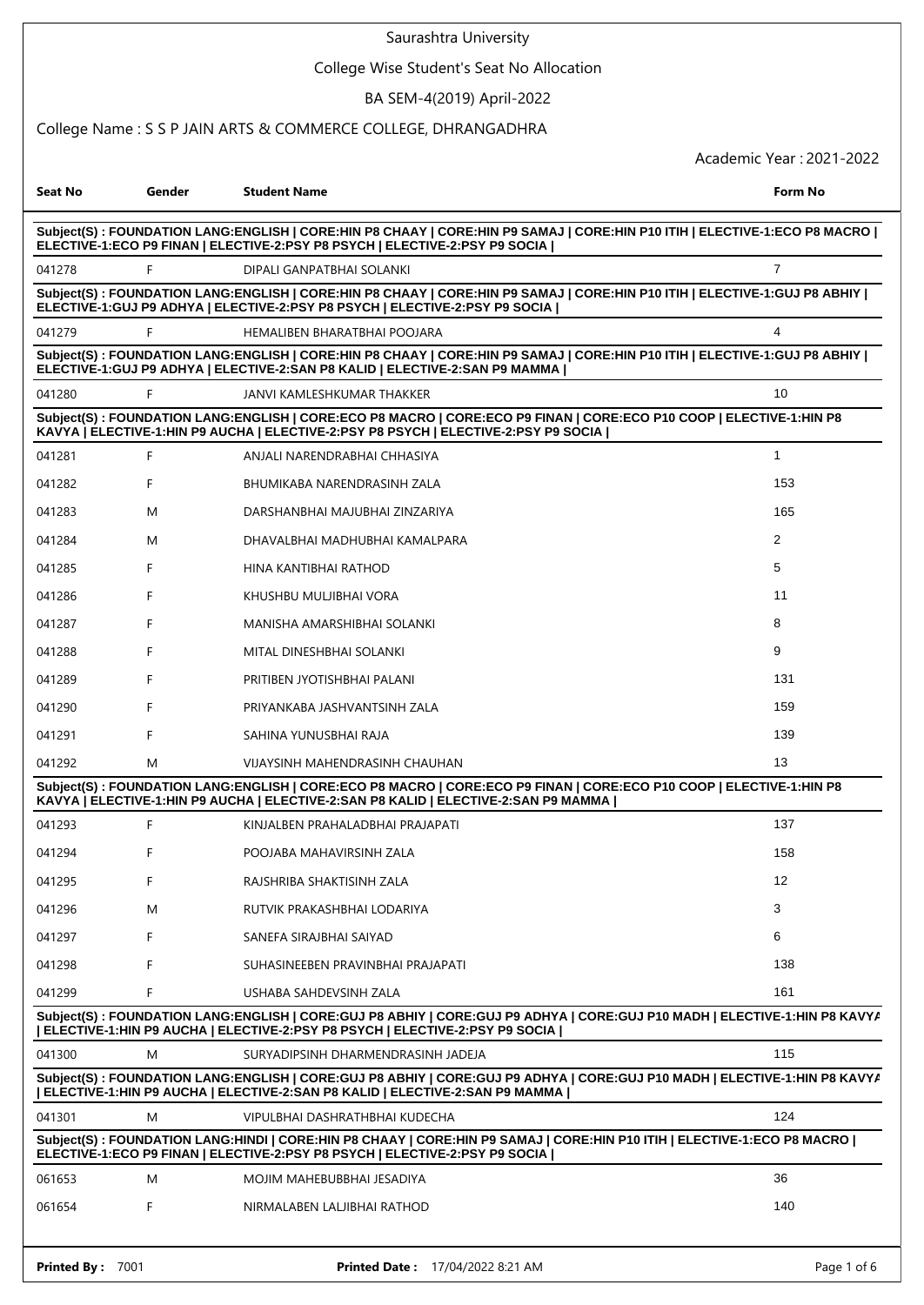|                                                                                                                                                                                                            |        | Saurashtra University                                                                                                                                                                                         |                          |  |
|------------------------------------------------------------------------------------------------------------------------------------------------------------------------------------------------------------|--------|---------------------------------------------------------------------------------------------------------------------------------------------------------------------------------------------------------------|--------------------------|--|
|                                                                                                                                                                                                            |        | College Wise Student's Seat No Allocation                                                                                                                                                                     |                          |  |
|                                                                                                                                                                                                            |        | BA SEM-4(2019) April-2022                                                                                                                                                                                     |                          |  |
|                                                                                                                                                                                                            |        | College Name: S S P JAIN ARTS & COMMERCE COLLEGE, DHRANGADHRA                                                                                                                                                 |                          |  |
|                                                                                                                                                                                                            |        |                                                                                                                                                                                                               | Academic Year: 2021-2022 |  |
| <b>Seat No</b>                                                                                                                                                                                             | Gender | <b>Student Name</b>                                                                                                                                                                                           | Form No                  |  |
|                                                                                                                                                                                                            |        | Subject(S): FOUNDATION LANG:ENGLISH   CORE:HIN P8 CHAAY   CORE:HIN P9 SAMAJ   CORE:HIN P10 ITIH   ELECTIVE-1:ECO P8 MACRO  <br>ELECTIVE-1:ECO P9 FINAN   ELECTIVE-2:PSY P8 PSYCH   ELECTIVE-2:PSY P9 SOCIA    |                          |  |
| 041278                                                                                                                                                                                                     | F      | DIPALI GANPATBHAI SOLANKI                                                                                                                                                                                     | $\overline{7}$           |  |
|                                                                                                                                                                                                            |        | Subject(S): FOUNDATION LANG:ENGLISH   CORE:HIN P8 CHAAY   CORE:HIN P9 SAMAJ   CORE:HIN P10 ITIH   ELECTIVE-1:GUJ P8 ABHIY  <br>ELECTIVE-1:GUJ P9 ADHYA   ELECTIVE-2:PSY P8 PSYCH   ELECTIVE-2:PSY P9 SOCIA    |                          |  |
| 041279                                                                                                                                                                                                     | F      | HEMALIBEN BHARATBHAI POOJARA                                                                                                                                                                                  | 4                        |  |
|                                                                                                                                                                                                            |        | Subject(S): FOUNDATION LANG:ENGLISH   CORE:HIN P8 CHAAY   CORE:HIN P9 SAMAJ   CORE:HIN P10 ITIH   ELECTIVE-1:GUJ P8 ABHIY  <br>ELECTIVE-1: GUJ P9 ADHYA   ELECTIVE-2: SAN P8 KALID   ELECTIVE-2: SAN P9 MAMMA |                          |  |
| 041280                                                                                                                                                                                                     | F      | JANVI KAMLESHKUMAR THAKKER                                                                                                                                                                                    | 10                       |  |
|                                                                                                                                                                                                            |        | Subject(S): FOUNDATION LANG:ENGLISH   CORE:ECO P8 MACRO   CORE:ECO P9 FINAN   CORE:ECO P10 COOP   ELECTIVE-1:HIN P8<br>KAVYA   ELECTIVE-1:HIN P9 AUCHA   ELECTIVE-2:PSY P8 PSYCH   ELECTIVE-2:PSY P9 SOCIA    |                          |  |
| 041281                                                                                                                                                                                                     | F      | ANJALI NARENDRABHAI CHHASIYA                                                                                                                                                                                  | $\mathbf{1}$             |  |
| 041282                                                                                                                                                                                                     | F      | BHUMIKABA NARENDRASINH ZALA                                                                                                                                                                                   | 153                      |  |
| 041283                                                                                                                                                                                                     | M      | DARSHANBHAI MAJUBHAI ZINZARIYA                                                                                                                                                                                | 165                      |  |
| 041284                                                                                                                                                                                                     | М      | DHAVALBHAI MADHUBHAI KAMALPARA                                                                                                                                                                                | 2                        |  |
| 041285                                                                                                                                                                                                     | F      | HINA KANTIBHAI RATHOD                                                                                                                                                                                         | 5                        |  |
| 041286                                                                                                                                                                                                     | F      | KHUSHBU MULJIBHAI VORA                                                                                                                                                                                        | 11                       |  |
| 041287                                                                                                                                                                                                     | F      | MANISHA AMARSHIBHAI SOLANKI                                                                                                                                                                                   | 8                        |  |
| 041288                                                                                                                                                                                                     | F      | MITAL DINESHBHAI SOLANKI                                                                                                                                                                                      | 9                        |  |
| 041289                                                                                                                                                                                                     |        | PRITIBEN JYOTISHBHAI PALANI                                                                                                                                                                                   | 131                      |  |
| 041290                                                                                                                                                                                                     |        | PRIYANKABA JASHVANTSINH ZALA                                                                                                                                                                                  | 159                      |  |
| 041291                                                                                                                                                                                                     | F      | SAHINA YUNUSBHAI RAJA                                                                                                                                                                                         | 139                      |  |
| 041292                                                                                                                                                                                                     | Μ      | <b>VIJAYSINH MAHENDRASINH CHAUHAN</b>                                                                                                                                                                         | 13                       |  |
|                                                                                                                                                                                                            |        | Subject(S): FOUNDATION LANG:ENGLISH   CORE:ECO P8 MACRO   CORE:ECO P9 FINAN   CORE:ECO P10 COOP   ELECTIVE-1:HIN P8<br>KAVYA   ELECTIVE-1:HIN P9 AUCHA   ELECTIVE-2:SAN P8 KALID   ELECTIVE-2:SAN P9 MAMMA    |                          |  |
| 041293                                                                                                                                                                                                     | F      | KINJALBEN PRAHALADBHAI PRAJAPATI                                                                                                                                                                              | 137                      |  |
| 041294                                                                                                                                                                                                     | F      | POOJABA MAHAVIRSINH ZALA                                                                                                                                                                                      | 158                      |  |
| 041295                                                                                                                                                                                                     | F      | RAJSHRIBA SHAKTISINH ZALA                                                                                                                                                                                     | 12 <sup>°</sup>          |  |
| 041296                                                                                                                                                                                                     | M      | RUTVIK PRAKASHBHAI LODARIYA                                                                                                                                                                                   | 3                        |  |
| 041297                                                                                                                                                                                                     | F      | SANEFA SIRAJBHAI SAIYAD                                                                                                                                                                                       | 6                        |  |
| 041298                                                                                                                                                                                                     | F      | SUHASINEEBEN PRAVINBHAI PRAJAPATI                                                                                                                                                                             | 138                      |  |
| 041299                                                                                                                                                                                                     | F      | USHABA SAHDEVSINH ZALA                                                                                                                                                                                        | 161                      |  |
| Subject(S): FOUNDATION LANG:ENGLISH   CORE:GUJ P8 ABHIY   CORE:GUJ P9 ADHYA   CORE:GUJ P10 MADH   ELECTIVE-1:HIN P8 KAVYA<br>  ELECTIVE-1:HIN P9 AUCHA   ELECTIVE-2:PSY P8 PSYCH   ELECTIVE-2:PSY P9 SOCIA |        |                                                                                                                                                                                                               |                          |  |
| 041300                                                                                                                                                                                                     | М      | SURYADIPSINH DHARMENDRASINH JADEJA                                                                                                                                                                            | 115                      |  |
|                                                                                                                                                                                                            |        | Subject(S): FOUNDATION LANG:ENGLISH   CORE:GUJ P8 ABHIY   CORE:GUJ P9 ADHYA   CORE:GUJ P10 MADH   ELECTIVE-1:HIN P8 KAVYA<br>  ELECTIVE-1:HIN P9 AUCHA   ELECTIVE-2:SAN P8 KALID   ELECTIVE-2:SAN P9 MAMMA    |                          |  |
| 041301                                                                                                                                                                                                     | M      | VIPULBHAI DASHRATHBHAI KUDECHA                                                                                                                                                                                | 124                      |  |
|                                                                                                                                                                                                            |        | Subject(S): FOUNDATION LANG:HINDI   CORE:HIN P8 CHAAY   CORE:HIN P9 SAMAJ   CORE:HIN P10 ITIH   ELECTIVE-1:ECO P8 MACRO  <br>ELECTIVE-1:ECO P9 FINAN   ELECTIVE-2:PSY P8 PSYCH   ELECTIVE-2:PSY P9 SOCIA      |                          |  |
| 061653                                                                                                                                                                                                     | M      | MOJIM MAHEBUBBHAI JESADIYA                                                                                                                                                                                    | 36                       |  |
| 061654                                                                                                                                                                                                     | F      | NIRMALABEN LALJIBHAI RATHOD                                                                                                                                                                                   | 140                      |  |
|                                                                                                                                                                                                            |        |                                                                                                                                                                                                               |                          |  |
| Printed By: 7001                                                                                                                                                                                           |        | Printed Date: 17/04/2022 8:21 AM                                                                                                                                                                              | Page 1 of 6              |  |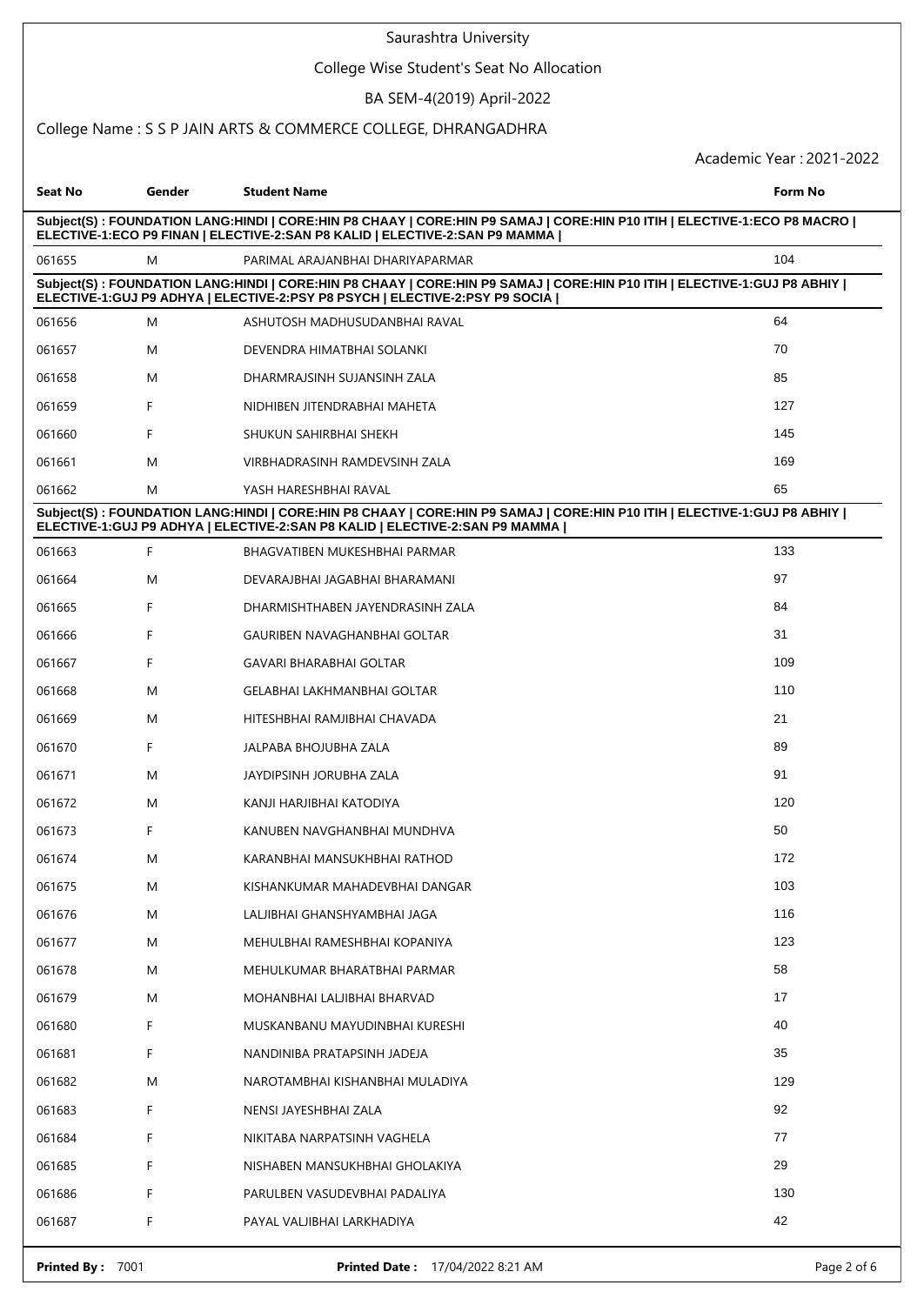### College Wise Student's Seat No Allocation

# BA SEM-4(2019) April-2022

### College Name : S S P JAIN ARTS & COMMERCE COLLEGE, DHRANGADHRA

| Seat No                                                                                                                                                                                                  | Gender | <b>Student Name</b>                                                                                                                                                                                         | Form No |  |
|----------------------------------------------------------------------------------------------------------------------------------------------------------------------------------------------------------|--------|-------------------------------------------------------------------------------------------------------------------------------------------------------------------------------------------------------------|---------|--|
| Subject(S): FOUNDATION LANG:HINDI   CORE:HIN P8 CHAAY   CORE:HIN P9 SAMAJ   CORE:HIN P10 ITIH   ELECTIVE-1:ECO P8 MACRO  <br>ELECTIVE-1:ECO P9 FINAN   ELECTIVE-2:SAN P8 KALID   ELECTIVE-2:SAN P9 MAMMA |        |                                                                                                                                                                                                             |         |  |
| 061655                                                                                                                                                                                                   | M      | PARIMAL ARAJANBHAI DHARIYAPARMAR                                                                                                                                                                            | 104     |  |
|                                                                                                                                                                                                          |        | Subject(S): FOUNDATION LANG:HINDI   CORE:HIN P8 CHAAY   CORE:HIN P9 SAMAJ   CORE:HIN P10 ITIH   ELECTIVE-1:GUJ P8 ABHIY  <br>ELECTIVE-1:GUJ P9 ADHYA   ELECTIVE-2:PSY P8 PSYCH   ELECTIVE-2:PSY P9 SOCIA    |         |  |
| 061656                                                                                                                                                                                                   | Μ      | ASHUTOSH MADHUSUDANBHAI RAVAL                                                                                                                                                                               | 64      |  |
| 061657                                                                                                                                                                                                   | Μ      | DEVENDRA HIMATBHAI SOLANKI                                                                                                                                                                                  | 70      |  |
| 061658                                                                                                                                                                                                   | Μ      | DHARMRAJSINH SUJANSINH ZALA                                                                                                                                                                                 | 85      |  |
| 061659                                                                                                                                                                                                   | F      | NIDHIBEN JITENDRABHAI MAHETA                                                                                                                                                                                | 127     |  |
| 061660                                                                                                                                                                                                   | F      | SHUKUN SAHIRBHAI SHEKH                                                                                                                                                                                      | 145     |  |
| 061661                                                                                                                                                                                                   | M      | VIRBHADRASINH RAMDEVSINH ZALA                                                                                                                                                                               | 169     |  |
| 061662                                                                                                                                                                                                   | M      | YASH HARESHBHAI RAVAL                                                                                                                                                                                       | 65      |  |
|                                                                                                                                                                                                          |        | Subject(S): FOUNDATION LANG:HINDI   CORE:HIN P8 CHAAY   CORE:HIN P9 SAMAJ   CORE:HIN P10 ITIH   ELECTIVE-1:GUJ P8 ABHIY  <br>ELECTIVE-1: GUJ P9 ADHYA   ELECTIVE-2: SAN P8 KALID   ELECTIVE-2: SAN P9 MAMMA |         |  |
| 061663                                                                                                                                                                                                   | F      | BHAGVATIBEN MUKESHBHAI PARMAR                                                                                                                                                                               | 133     |  |
| 061664                                                                                                                                                                                                   | M      | DEVARAJBHAI JAGABHAI BHARAMANI                                                                                                                                                                              | 97      |  |
| 061665                                                                                                                                                                                                   | F.     | DHARMISHTHABEN JAYENDRASINH ZALA                                                                                                                                                                            | 84      |  |
| 061666                                                                                                                                                                                                   | F      | GAURIBEN NAVAGHANBHAI GOLTAR                                                                                                                                                                                | 31      |  |
| 061667                                                                                                                                                                                                   | F      | GAVARI BHARABHAI GOLTAR                                                                                                                                                                                     | 109     |  |
| 061668                                                                                                                                                                                                   | M      | GELABHAI LAKHMANBHAI GOLTAR                                                                                                                                                                                 | 110     |  |
| 061669                                                                                                                                                                                                   | Μ      | HITESHBHAI RAMJIBHAI CHAVADA                                                                                                                                                                                | 21      |  |
| 061670                                                                                                                                                                                                   | F.     | JALPABA BHOJUBHA ZALA                                                                                                                                                                                       | 89      |  |
| 061671                                                                                                                                                                                                   | M      | JAYDIPSINH JORUBHA ZALA                                                                                                                                                                                     | 91      |  |
| 061672                                                                                                                                                                                                   | M      | KANJI HARJIBHAI KATODIYA                                                                                                                                                                                    | 120     |  |
| 061673                                                                                                                                                                                                   | F      | KANUBEN NAVGHANBHAI MUNDHVA                                                                                                                                                                                 | 50      |  |
| 061674                                                                                                                                                                                                   | Μ      | KARANBHAI MANSUKHBHAI RATHOD                                                                                                                                                                                | 172     |  |
| 061675                                                                                                                                                                                                   | Μ      | KISHANKUMAR MAHADEVBHAI DANGAR                                                                                                                                                                              | 103     |  |
| 061676                                                                                                                                                                                                   | M      | LALJIBHAI GHANSHYAMBHAI JAGA                                                                                                                                                                                | 116     |  |
| 061677                                                                                                                                                                                                   | M      | MEHULBHAI RAMESHBHAI KOPANIYA                                                                                                                                                                               | 123     |  |
| 061678                                                                                                                                                                                                   | M      | MEHULKUMAR BHARATBHAI PARMAR                                                                                                                                                                                | 58      |  |
| 061679                                                                                                                                                                                                   | M      | MOHANBHAI LALJIBHAI BHARVAD                                                                                                                                                                                 | 17      |  |
| 061680                                                                                                                                                                                                   | F.     | MUSKANBANU MAYUDINBHAI KURESHI                                                                                                                                                                              | 40      |  |
| 061681                                                                                                                                                                                                   | F.     | NANDINIBA PRATAPSINH JADEJA                                                                                                                                                                                 | 35      |  |
| 061682                                                                                                                                                                                                   | M      | NAROTAMBHAI KISHANBHAI MULADIYA                                                                                                                                                                             | 129     |  |
| 061683                                                                                                                                                                                                   | F.     | NENSI JAYESHBHAI ZALA                                                                                                                                                                                       | 92      |  |
| 061684                                                                                                                                                                                                   | F.     | NIKITABA NARPATSINH VAGHELA                                                                                                                                                                                 | 77      |  |
| 061685                                                                                                                                                                                                   | F.     | NISHABEN MANSUKHBHAI GHOLAKIYA                                                                                                                                                                              | 29      |  |
| 061686                                                                                                                                                                                                   | F.     | PARULBEN VASUDEVBHAI PADALIYA                                                                                                                                                                               | 130     |  |
| 061687                                                                                                                                                                                                   | F      | PAYAL VALJIBHAI LARKHADIYA                                                                                                                                                                                  | 42      |  |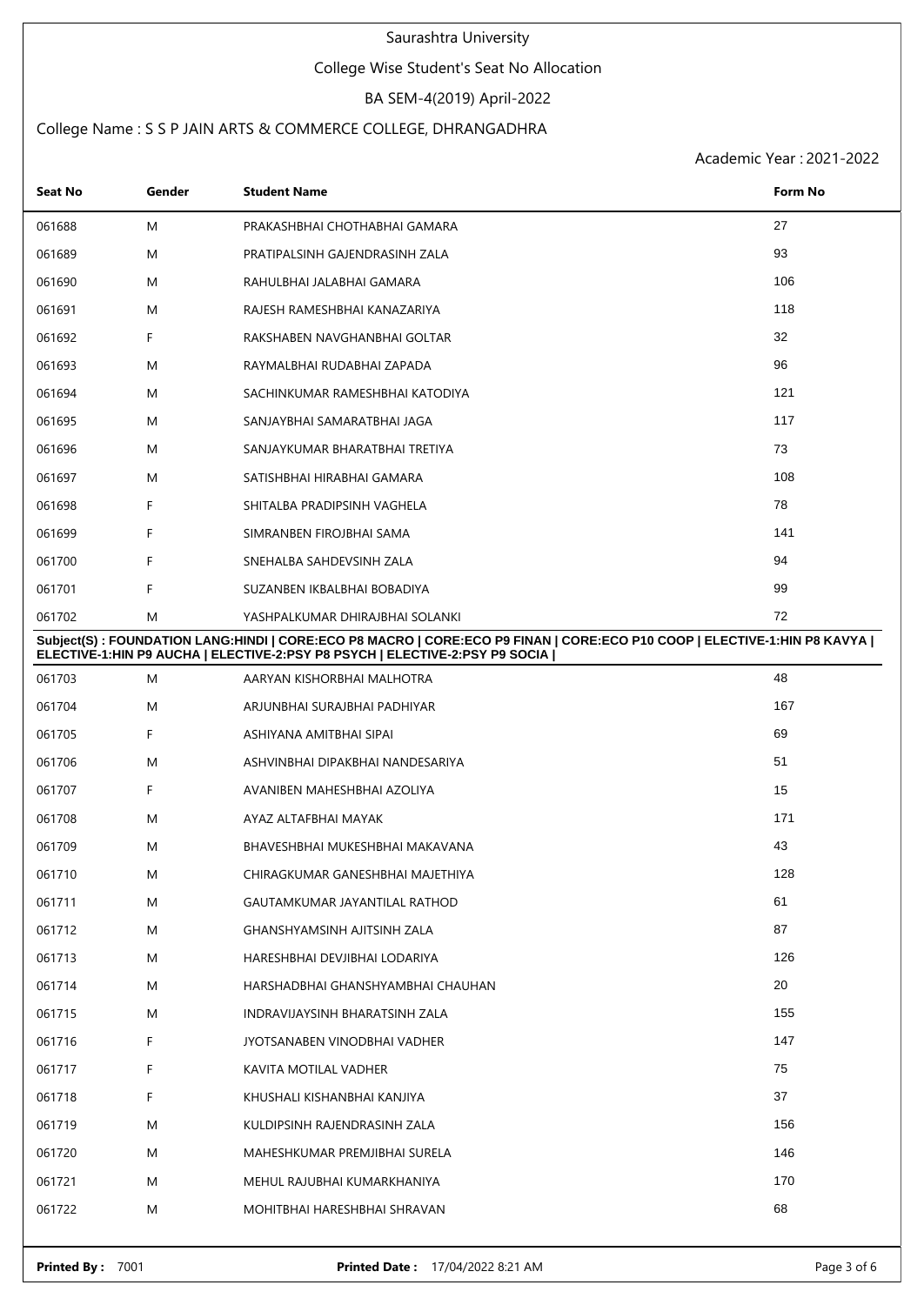### College Wise Student's Seat No Allocation

## BA SEM-4(2019) April-2022

## College Name : S S P JAIN ARTS & COMMERCE COLLEGE, DHRANGADHRA

| Seat No | Gender | <b>Student Name</b>                                                                                                                                                                                      | Form No |
|---------|--------|----------------------------------------------------------------------------------------------------------------------------------------------------------------------------------------------------------|---------|
| 061688  | M      | PRAKASHBHAI CHOTHABHAI GAMARA                                                                                                                                                                            | 27      |
| 061689  | M      | PRATIPALSINH GAJENDRASINH ZALA                                                                                                                                                                           | 93      |
| 061690  | M      | RAHULBHAI JALABHAI GAMARA                                                                                                                                                                                | 106     |
| 061691  | M      | RAJESH RAMESHBHAI KANAZARIYA                                                                                                                                                                             | 118     |
| 061692  | F      | RAKSHABEN NAVGHANBHAI GOLTAR                                                                                                                                                                             | 32      |
| 061693  | M      | RAYMALBHAI RUDABHAI ZAPADA                                                                                                                                                                               | 96      |
| 061694  | M      | SACHINKUMAR RAMESHBHAI KATODIYA                                                                                                                                                                          | 121     |
| 061695  | M      | SANJAYBHAI SAMARATBHAI JAGA                                                                                                                                                                              | 117     |
| 061696  | M      | SANJAYKUMAR BHARATBHAI TRETIYA                                                                                                                                                                           | 73      |
| 061697  | M      | SATISHBHAI HIRABHAI GAMARA                                                                                                                                                                               | 108     |
| 061698  | F      | SHITALBA PRADIPSINH VAGHELA                                                                                                                                                                              | 78      |
| 061699  | F      | SIMRANBEN FIROJBHAI SAMA                                                                                                                                                                                 | 141     |
| 061700  | F      | SNEHALBA SAHDEVSINH ZALA                                                                                                                                                                                 | 94      |
| 061701  | F      | SUZANBEN IKBALBHAI BOBADIYA                                                                                                                                                                              | 99      |
| 061702  | M      | YASHPALKUMAR DHIRAJBHAI SOLANKI                                                                                                                                                                          | 72      |
|         |        | Subject(S): FOUNDATION LANG:HINDI   CORE:ECO P8 MACRO   CORE:ECO P9 FINAN   CORE:ECO P10 COOP   ELECTIVE-1:HIN P8 KAVYA  <br>ELECTIVE-1:HIN P9 AUCHA   ELECTIVE-2:PSY P8 PSYCH   ELECTIVE-2:PSY P9 SOCIA |         |
| 061703  | M      | AARYAN KISHORBHAI MALHOTRA                                                                                                                                                                               | 48      |
| 061704  | M      | ARJUNBHAI SURAJBHAI PADHIYAR                                                                                                                                                                             | 167     |
| 061705  | F      | ASHIYANA AMITBHAI SIPAI                                                                                                                                                                                  | 69      |
| 061706  | M      | ASHVINBHAI DIPAKBHAI NANDESARIYA                                                                                                                                                                         | 51      |
| 061707  | F      | AVANIBEN MAHESHBHAI AZOLIYA                                                                                                                                                                              | 15      |
| 061708  | M      | AYAZ ALTAFBHAI MAYAK                                                                                                                                                                                     | 171     |
| 061709  | M      | BHAVESHBHAI MUKESHBHAI MAKAVANA                                                                                                                                                                          | 43      |
| 061710  | M      | CHIRAGKUMAR GANESHBHAI MAJETHIYA                                                                                                                                                                         | 128     |
| 061711  | M      | GAUTAMKUMAR JAYANTILAL RATHOD                                                                                                                                                                            | 61      |
| 061712  | M      | <b>GHANSHYAMSINH AJITSINH ZALA</b>                                                                                                                                                                       | 87      |
| 061713  | M      | HARESHBHAI DEVJIBHAI LODARIYA                                                                                                                                                                            | 126     |
| 061714  | M      | HARSHADBHAI GHANSHYAMBHAI CHAUHAN                                                                                                                                                                        | 20      |
| 061715  | M      | INDRAVIJAYSINH BHARATSINH ZALA                                                                                                                                                                           | 155     |
| 061716  | F      | JYOTSANABEN VINODBHAI VADHER                                                                                                                                                                             | 147     |
| 061717  | F      | KAVITA MOTILAL VADHER                                                                                                                                                                                    | 75      |
| 061718  | F      | KHUSHALI KISHANBHAI KANJIYA                                                                                                                                                                              | 37      |
| 061719  | M      | KULDIPSINH RAJENDRASINH ZALA                                                                                                                                                                             | 156     |
| 061720  | M      | MAHESHKUMAR PREMJIBHAI SURELA                                                                                                                                                                            | 146     |
| 061721  | M      | MEHUL RAJUBHAI KUMARKHANIYA                                                                                                                                                                              | 170     |
| 061722  | M      | MOHITBHAI HARESHBHAI SHRAVAN                                                                                                                                                                             | 68      |
|         |        |                                                                                                                                                                                                          |         |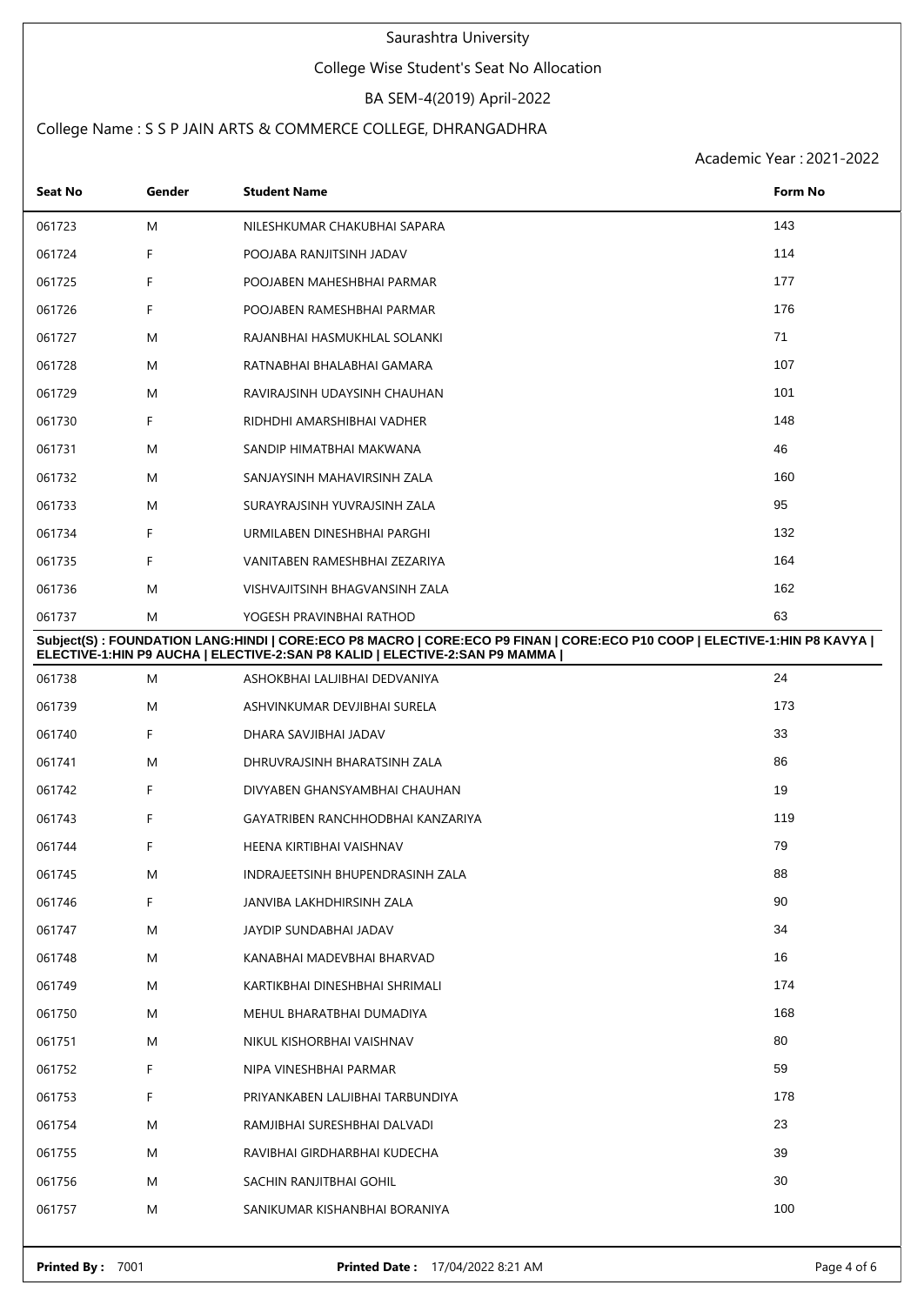### College Wise Student's Seat No Allocation

## BA SEM-4(2019) April-2022

## College Name : S S P JAIN ARTS & COMMERCE COLLEGE, DHRANGADHRA

| <b>Seat No</b> | Gender | <b>Student Name</b>                                                                                                                                                                                      | Form No |
|----------------|--------|----------------------------------------------------------------------------------------------------------------------------------------------------------------------------------------------------------|---------|
| 061723         | M      | NILESHKUMAR CHAKUBHAI SAPARA                                                                                                                                                                             | 143     |
| 061724         | F      | POOJABA RANJITSINH JADAV                                                                                                                                                                                 | 114     |
| 061725         | F      | POOJABEN MAHESHBHAI PARMAR                                                                                                                                                                               | 177     |
| 061726         | F      | POOJABEN RAMESHBHAI PARMAR                                                                                                                                                                               | 176     |
| 061727         | M      | RAJANBHAI HASMUKHLAL SOLANKI                                                                                                                                                                             | 71      |
| 061728         | M      | RATNABHAI BHALABHAI GAMARA                                                                                                                                                                               | 107     |
| 061729         | M      | RAVIRAJSINH UDAYSINH CHAUHAN                                                                                                                                                                             | 101     |
| 061730         | F      | RIDHDHI AMARSHIBHAI VADHER                                                                                                                                                                               | 148     |
| 061731         | M      | SANDIP HIMATBHAI MAKWANA                                                                                                                                                                                 | 46      |
| 061732         | M      | SANJAYSINH MAHAVIRSINH ZALA                                                                                                                                                                              | 160     |
| 061733         | M      | SURAYRAJSINH YUVRAJSINH ZALA                                                                                                                                                                             | 95      |
| 061734         | F      | URMILABEN DINESHBHAI PARGHI                                                                                                                                                                              | 132     |
| 061735         | F      | VANITABEN RAMESHBHAI ZEZARIYA                                                                                                                                                                            | 164     |
| 061736         | M      | VISHVAJITSINH BHAGVANSINH ZALA                                                                                                                                                                           | 162     |
| 061737         | M      | YOGESH PRAVINBHAI RATHOD                                                                                                                                                                                 | 63      |
|                |        | Subject(S): FOUNDATION LANG:HINDI   CORE:ECO P8 MACRO   CORE:ECO P9 FINAN   CORE:ECO P10 COOP   ELECTIVE-1:HIN P8 KAVYA  <br>ELECTIVE-1:HIN P9 AUCHA   ELECTIVE-2:SAN P8 KALID   ELECTIVE-2:SAN P9 MAMMA |         |
| 061738         | M      | ASHOKBHAI LALJIBHAI DEDVANIYA                                                                                                                                                                            | 24      |
| 061739         | M      | ASHVINKUMAR DEVJIBHAI SURELA                                                                                                                                                                             | 173     |
| 061740         | F      | DHARA SAVJIBHAI JADAV                                                                                                                                                                                    | 33      |
| 061741         | M      | DHRUVRAJSINH BHARATSINH ZALA                                                                                                                                                                             | 86      |
| 061742         | F      | DIVYABEN GHANSYAMBHAI CHAUHAN                                                                                                                                                                            | 19      |
| 061743         | F      | GAYATRIBEN RANCHHODBHAI KANZARIYA                                                                                                                                                                        | 119     |
| 061744         | F      | HEENA KIRTIBHAI VAISHNAV                                                                                                                                                                                 | 79      |
| 061745         | M      | INDRAJEETSINH BHUPENDRASINH ZALA                                                                                                                                                                         | 88      |
| 061746         | F      | JANVIBA LAKHDHIRSINH ZALA                                                                                                                                                                                | 90      |
| 061747         | M      | JAYDIP SUNDABHAI JADAV                                                                                                                                                                                   | 34      |
| 061748         | M      | KANABHAI MADEVBHAI BHARVAD                                                                                                                                                                               | 16      |
| 061749         | M      | KARTIKBHAI DINESHBHAI SHRIMALI                                                                                                                                                                           | 174     |
| 061750         | M      | MEHUL BHARATBHAI DUMADIYA                                                                                                                                                                                | 168     |
| 061751         | M      | NIKUL KISHORBHAI VAISHNAV                                                                                                                                                                                | 80      |
| 061752         | F      | NIPA VINESHBHAI PARMAR                                                                                                                                                                                   | 59      |
| 061753         | F      | PRIYANKABEN LALJIBHAI TARBUNDIYA                                                                                                                                                                         | 178     |
| 061754         | M      | RAMJIBHAI SURESHBHAI DALVADI                                                                                                                                                                             | 23      |
| 061755         | M      | RAVIBHAI GIRDHARBHAI KUDECHA                                                                                                                                                                             | 39      |
| 061756         | M      | SACHIN RANJITBHAI GOHIL                                                                                                                                                                                  | 30      |
| 061757         | M      | SANIKUMAR KISHANBHAI BORANIYA                                                                                                                                                                            | 100     |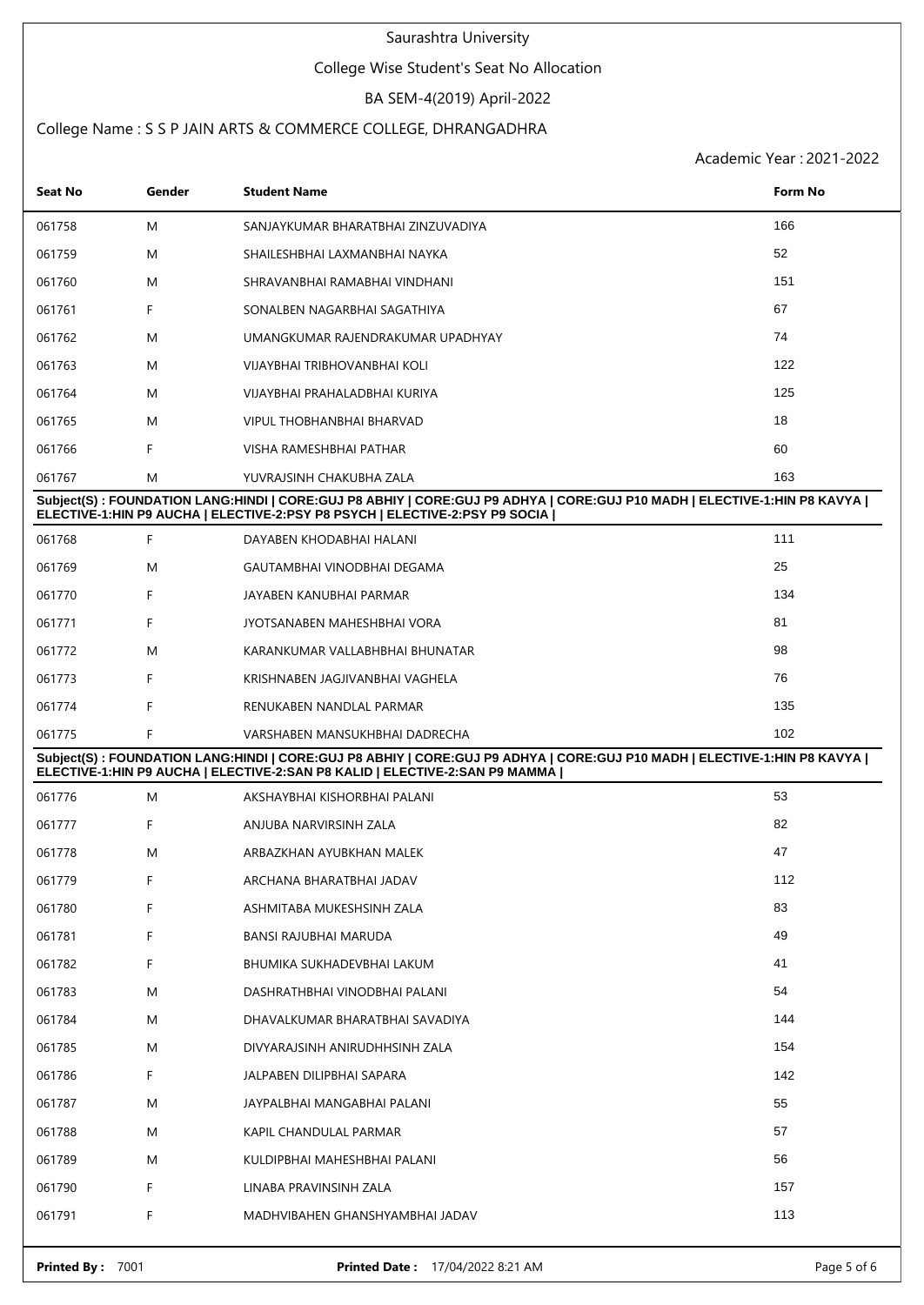### College Wise Student's Seat No Allocation

## BA SEM-4(2019) April-2022

## College Name : S S P JAIN ARTS & COMMERCE COLLEGE, DHRANGADHRA

| Seat No          | Gender | <b>Student Name</b>                                                                                                                                                                                          | <b>Form No</b> |
|------------------|--------|--------------------------------------------------------------------------------------------------------------------------------------------------------------------------------------------------------------|----------------|
| 061758           | M      | SANJAYKUMAR BHARATBHAI ZINZUVADIYA                                                                                                                                                                           | 166            |
| 061759           | M      | SHAILESHBHAI LAXMANBHAI NAYKA                                                                                                                                                                                | 52             |
| 061760           | M      | SHRAVANBHAI RAMABHAI VINDHANI                                                                                                                                                                                | 151            |
| 061761           | F      | SONALBEN NAGARBHAI SAGATHIYA                                                                                                                                                                                 | 67             |
| 061762           | M      | UMANGKUMAR RAJENDRAKUMAR UPADHYAY                                                                                                                                                                            | 74             |
| 061763           | M      | VIJAYBHAI TRIBHOVANBHAI KOLI                                                                                                                                                                                 | 122            |
| 061764           | M      | VIJAYBHAI PRAHALADBHAI KURIYA                                                                                                                                                                                | 125            |
| 061765           | M      | VIPUL THOBHANBHAI BHARVAD                                                                                                                                                                                    | 18             |
| 061766           | F      | VISHA RAMESHBHAI PATHAR                                                                                                                                                                                      | 60             |
| 061767           | M      | YUVRAJSINH CHAKUBHA ZALA                                                                                                                                                                                     | 163            |
|                  |        | Subject(S): FOUNDATION LANG:HINDI   CORE:GUJ P8 ABHIY   CORE:GUJ P9 ADHYA   CORE:GUJ P10 MADH   ELECTIVE-1:HIN P8 KAVYA  <br>ELECTIVE-1:HIN P9 AUCHA   ELECTIVE-2:PSY P8 PSYCH   ELECTIVE-2:PSY P9 SOCIA     |                |
| 061768           | F      | DAYABEN KHODABHAI HALANI                                                                                                                                                                                     | 111            |
| 061769           | M      | GAUTAMBHAI VINODBHAI DEGAMA                                                                                                                                                                                  | 25             |
| 061770           | F      | JAYABEN KANUBHAI PARMAR                                                                                                                                                                                      | 134            |
| 061771           | F      | JYOTSANABEN MAHESHBHAI VORA                                                                                                                                                                                  | 81             |
| 061772           | M      | KARANKUMAR VALLABHBHAI BHUNATAR                                                                                                                                                                              | 98             |
| 061773           | F      | KRISHNABEN JAGJIVANBHAI VAGHELA                                                                                                                                                                              | 76             |
| 061774           | F      | RENUKABEN NANDLAL PARMAR                                                                                                                                                                                     | 135            |
| 061775           | F      | VARSHABEN MANSUKHBHAI DADRECHA                                                                                                                                                                               | 102            |
|                  |        | Subject(S) : FOUNDATION LANG:HINDI   CORE:GUJ P8 ABHIY   CORE:GUJ P9 ADHYA   CORE:GUJ P10 MADH   ELECTIVE-1:HIN P8 KAVYA  <br>ELECTIVE-1: HIN P9 AUCHA   ELECTIVE-2: SAN P8 KALID   ELECTIVE-2: SAN P9 MAMMA |                |
| 061776           | M      | AKSHAYBHAI KISHORBHAI PALANI                                                                                                                                                                                 | 53             |
| 061777           | F      | ANJUBA NARVIRSINH ZALA                                                                                                                                                                                       | 82             |
| 061778           | M      | ARBAZKHAN AYUBKHAN MALEK                                                                                                                                                                                     | 47             |
| 061779           | F      | ARCHANA BHARATBHAI JADAV                                                                                                                                                                                     | 112            |
| 061780           | F      | ASHMITABA MUKESHSINH ZALA                                                                                                                                                                                    | 83             |
| 061781           | F      | BANSI RAJUBHAI MARUDA                                                                                                                                                                                        | 49             |
| 061782           | F      | BHUMIKA SUKHADEVBHAI LAKUM                                                                                                                                                                                   | 41             |
| 061783           | M      | DASHRATHBHAI VINODBHAI PALANI                                                                                                                                                                                | 54             |
| 061784           | M      | DHAVALKUMAR BHARATBHAI SAVADIYA                                                                                                                                                                              | 144            |
| 061785           | M      | DIVYARAJSINH ANIRUDHHSINH ZALA                                                                                                                                                                               | 154            |
| 061786           | F      | JALPABEN DILIPBHAI SAPARA                                                                                                                                                                                    | 142            |
| 061787           | M      | JAYPALBHAI MANGABHAI PALANI                                                                                                                                                                                  | 55             |
| 061788           | M      | KAPIL CHANDULAL PARMAR                                                                                                                                                                                       | 57             |
| 061789           | M      | KULDIPBHAI MAHESHBHAI PALANI                                                                                                                                                                                 | 56             |
| 061790           | F      | LINABA PRAVINSINH ZALA                                                                                                                                                                                       | 157            |
| 061791           | F      | MADHVIBAHEN GHANSHYAMBHAI JADAV                                                                                                                                                                              | 113            |
| Printed By: 7001 |        | Printed Date: 17/04/2022 8:21 AM                                                                                                                                                                             | Page 5 of 6    |